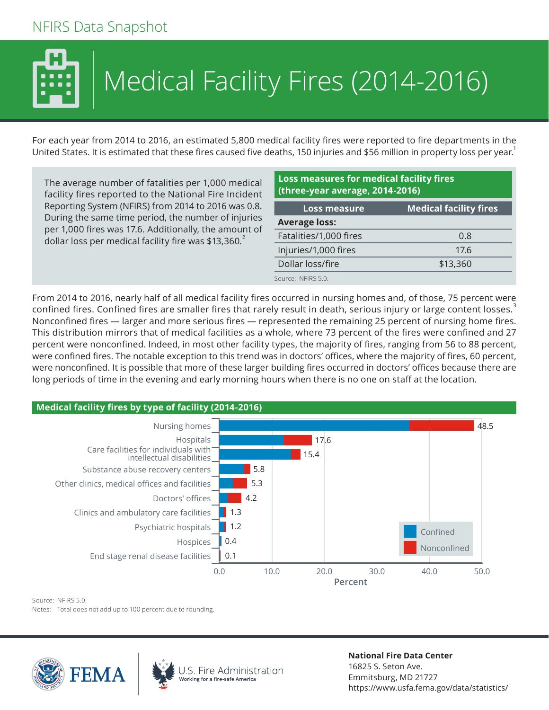## NFIRS Data Snapshot



## Medical Facility Fires (2014-2016)

For each year from 2014 to 2016, an estimated 5,800 medical facility fires were reported to fire departments in the United States. It is estimated that these fires caused five deaths, 150 injuries and \$56 million in property loss per year.<sup>1</sup>

The average number of fatalities per 1,000 medical facility fires reported to the National Fire Incident Reporting System (NFIRS) from 2014 to 2016 was 0.8. During the same time period, the number of injuries per 1,000 fires was 17.6. Additionally, the amount of dollar loss per medical facility fire was \$13,360. $<sup>2</sup>$ </sup>

## **Loss measures for medical facility fires (three-year average, 2014-2016) Loss measure Medical facility fires Average loss:** Fatalities/1,000 fires 0.8 Injuries/1,000 fires 17.6 Dollar loss/fire \$13,360 Source: NFIRS 5.0.

From 2014 to 2016, nearly half of all medical facility fires occurred in nursing homes and, of those, 75 percent were confined fires. Confined fires are smaller fires that rarely result in death, serious injury or large content losses.<sup>3</sup> Nonconfined fires — larger and more serious fires — represented the remaining 25 percent of nursing home fires. This distribution mirrors that of medical facilities as a whole, where 73 percent of the fires were confined and 27 percent were nonconfined. Indeed, in most other facility types, the majority of fires, ranging from 56 to 88 percent, were confined fires. The notable exception to this trend was in doctors' offices, where the majority of fires, 60 percent, were nonconfined. It is possible that more of these larger building fires occurred in doctors' offices because there are long periods of time in the evening and early morning hours when there is no one on staff at the location.



Source: NFIRS 5.0.

Notes: Total does not add up to 100 percent due to rounding.







**National Fire Data Center** 16825 S. Seton Ave. Emmitsburg, MD 21727 https://www.usfa.fema.gov/data/statistics/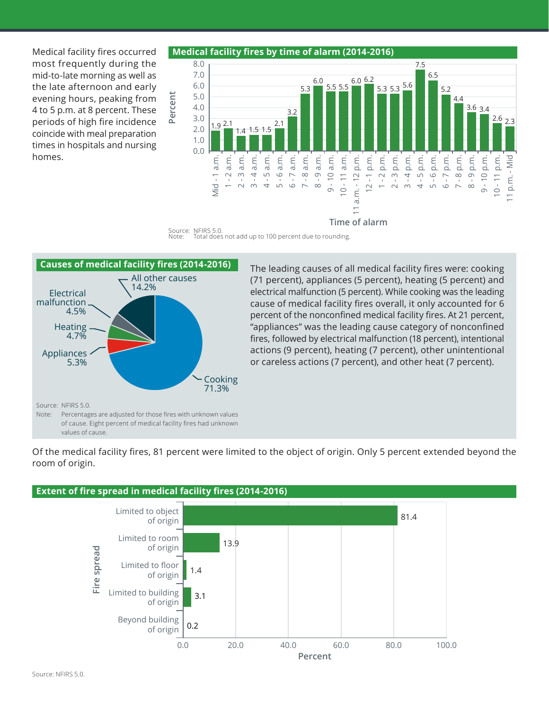Medical facility fires occurred most frequently during the mid-to-late morning as well as the late afternoon and early evening hours, peaking from 4 to 5 p.m. at 8 percent. These periods of high fire incidence coincide with meal preparation times in hospitals and nursing homes.







The leading causes of all medical facility fires were: cooking (71 percent), appliances (5 percent), heating (5 percent) and electrical malfunction (5 percent). While cooking was the leading cause of medical facility fires overall, it only accounted for 6 percent of the nonconfined medical facility fires. At 21 percent, "appliances" was the leading cause category of nonconfined fires, followed by electrical malfunction (18 percent), intentional actions (9 percent), heating (7 percent), other unintentional or careless actions (7 percent), and other heat (7 percent).

Of the medical facility fires, 81 percent were limited to the object of origin. Only 5 percent extended beyond the room of origin.